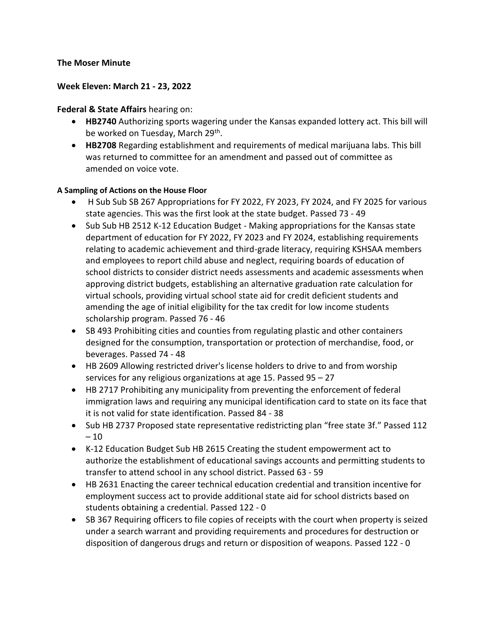## **The Moser Minute**

## **Week Eleven: March 21 - 23, 2022**

## **Federal & State Affairs** hearing on:

- **HB2740** Authorizing sports wagering under the Kansas expanded lottery act. This bill will be worked on Tuesday, March 29<sup>th</sup>.
- **HB2708** Regarding establishment and requirements of medical marijuana labs. This bill was returned to committee for an amendment and passed out of committee as amended on voice vote.

## **A Sampling of Actions on the House Floor**

- H Sub Sub SB 267 Appropriations for FY 2022, FY 2023, FY 2024, and FY 2025 for various state agencies. This was the first look at the state budget. Passed 73 - 49
- Sub Sub HB 2512 K-12 Education Budget Making appropriations for the Kansas state department of education for FY 2022, FY 2023 and FY 2024, establishing requirements relating to academic achievement and third-grade literacy, requiring KSHSAA members and employees to report child abuse and neglect, requiring boards of education of school districts to consider district needs assessments and academic assessments when approving district budgets, establishing an alternative graduation rate calculation for virtual schools, providing virtual school state aid for credit deficient students and amending the age of initial eligibility for the tax credit for low income students scholarship program. Passed 76 - 46
- SB 493 Prohibiting cities and counties from regulating plastic and other containers designed for the consumption, transportation or protection of merchandise, food, or beverages. Passed 74 - 48
- HB 2609 Allowing restricted driver's license holders to drive to and from worship services for any religious organizations at age 15. Passed 95 – 27
- HB 2717 Prohibiting any municipality from preventing the enforcement of federal immigration laws and requiring any municipal identification card to state on its face that it is not valid for state identification. Passed 84 - 38
- Sub HB 2737 Proposed state representative redistricting plan "free state 3f." Passed 112  $-10$
- K-12 Education Budget Sub HB 2615 Creating the student empowerment act to authorize the establishment of educational savings accounts and permitting students to transfer to attend school in any school district. Passed 63 - 59
- HB 2631 Enacting the career technical education credential and transition incentive for employment success act to provide additional state aid for school districts based on students obtaining a credential. Passed 122 - 0
- SB 367 Requiring officers to file copies of receipts with the court when property is seized under a search warrant and providing requirements and procedures for destruction or disposition of dangerous drugs and return or disposition of weapons. Passed 122 - 0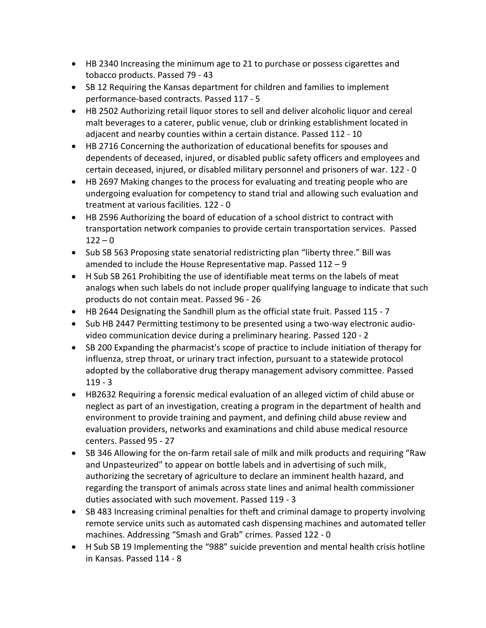- HB 2340 Increasing the minimum age to 21 to purchase or possess cigarettes and tobacco products. Passed 79 - 43
- SB 12 Requiring the Kansas department for children and families to implement performance-based contracts. Passed 117 - 5
- HB 2502 Authorizing retail liquor stores to sell and deliver alcoholic liquor and cereal malt beverages to a caterer, public venue, club or drinking establishment located in adjacent and nearby counties within a certain distance. Passed 112 - 10
- HB 2716 Concerning the authorization of educational benefits for spouses and dependents of deceased, injured, or disabled public safety officers and employees and certain deceased, injured, or disabled military personnel and prisoners of war. 122 - 0
- HB 2697 Making changes to the process for evaluating and treating people who are undergoing evaluation for competency to stand trial and allowing such evaluation and treatment at various facilities. 122 - 0
- HB 2596 Authorizing the board of education of a school district to contract with transportation network companies to provide certain transportation services. Passed  $122 - 0$
- Sub SB 563 Proposing state senatorial redistricting plan "liberty three." Bill was amended to include the House Representative map. Passed 112 – 9
- H Sub SB 261 Prohibiting the use of identifiable meat terms on the labels of meat analogs when such labels do not include proper qualifying language to indicate that such products do not contain meat. Passed 96 - 26
- HB 2644 Designating the Sandhill plum as the official state fruit. Passed 115 7
- Sub HB 2447 Permitting testimony to be presented using a two-way electronic audiovideo communication device during a preliminary hearing. Passed 120 - 2
- SB 200 Expanding the pharmacist's scope of practice to include initiation of therapy for influenza, strep throat, or urinary tract infection, pursuant to a statewide protocol adopted by the collaborative drug therapy management advisory committee. Passed 119 - 3
- HB2632 Requiring a forensic medical evaluation of an alleged victim of child abuse or neglect as part of an investigation, creating a program in the department of health and environment to provide training and payment, and defining child abuse review and evaluation providers, networks and examinations and child abuse medical resource centers. Passed 95 - 27
- SB 346 Allowing for the on-farm retail sale of milk and milk products and requiring "Raw and Unpasteurized" to appear on bottle labels and in advertising of such milk, authorizing the secretary of agriculture to declare an imminent health hazard, and regarding the transport of animals across state lines and animal health commissioner duties associated with such movement. Passed 119 - 3
- SB 483 Increasing criminal penalties for theft and criminal damage to property involving remote service units such as automated cash dispensing machines and automated teller machines. Addressing "Smash and Grab" crimes. Passed 122 - 0
- H Sub SB 19 Implementing the "988" suicide prevention and mental health crisis hotline in Kansas. Passed 114 - 8